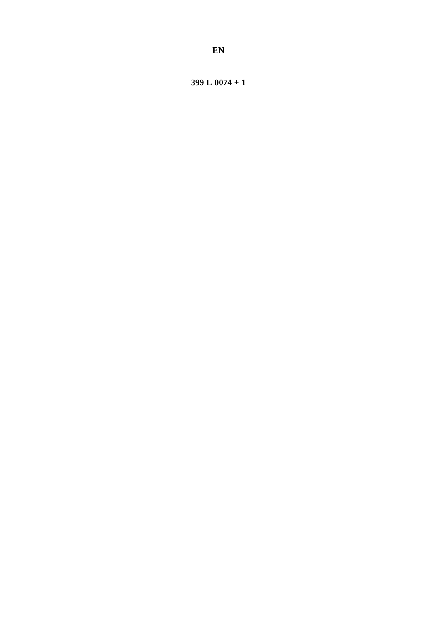399 L  $0074 + 1$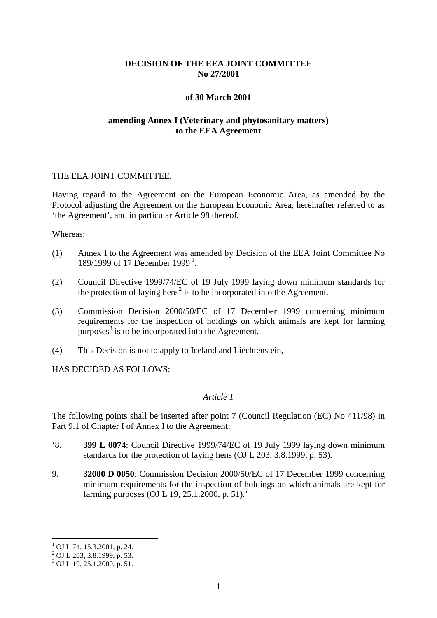# **DECISION OF THE EEA JOINT COMMITTEE No 27/2001**

## **of 30 March 2001**

# **amending Annex I (Veterinary and phytosanitary matters) to the EEA Agreement**

#### THE EEA JOINT COMMITTEE,

Having regard to the Agreement on the European Economic Area, as amended by the Protocol adjusting the Agreement on the European Economic Area, hereinafter referred to as 'the Agreement', and in particular Article 98 thereof,

#### Whereas:

- (1) Annex I to the Agreement was amended by Decision of the EEA Joint Committee No [1](#page-1-0)89/1999 of 17 December 1999<sup>1</sup>.
- (2) Council Directive 1999/74/EC of 19 July 1999 laying down minimum standards for the protection of laying hens<sup>2</sup> is to be incorporated into the Agreement.
- (3) Commission Decision 2000/50/EC of 17 December 1999 concerning minimum requirements for the inspection of holdings on which animals are kept for farming purposes $3$  is to be incorporated into the Agreement.
- (4) This Decision is not to apply to Iceland and Liechtenstein,

HAS DECIDED AS FOLLOWS:

# *Article 1*

The following points shall be inserted after point 7 (Council Regulation (EC) No 411/98) in Part 9.1 of Chapter I of Annex I to the Agreement:

- '8. **399 L 0074**: Council Directive 1999/74/EC of 19 July 1999 laying down minimum standards for the protection of laying hens (OJ L 203, 3.8.1999, p. 53).
- 9. **32000 D 0050**: Commission Decision 2000/50/EC of 17 December 1999 concerning minimum requirements for the inspection of holdings on which animals are kept for farming purposes (OJ L 19, 25.1.2000, p. 51).'

 $1$  OJ L 74, 15.3.2001, p. 24.

 $^{2}$  OJ L 203, 3.8.1999, p. 53.

<span id="page-1-0"></span> $3$  OJ L 19, 25.1.2000, p. 51.